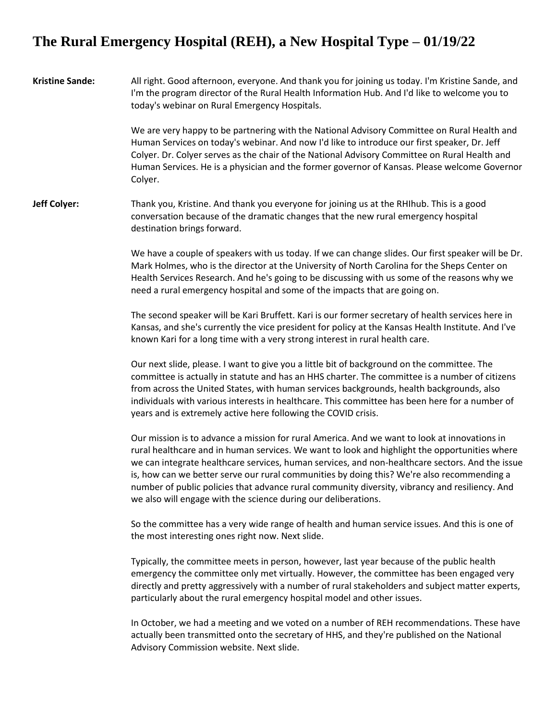## **The Rural Emergency Hospital (REH), a New Hospital Type – 01/19/22**

**Kristine Sande:** All right. Good afternoon, everyone. And thank you for joining us today. I'm Kristine Sande, and I'm the program director of the Rural Health Information Hub. And I'd like to welcome you to today's webinar on Rural Emergency Hospitals. We are very happy to be partnering with the National Advisory Committee on Rural Health and Human Services on today's webinar. And now I'd like to introduce our first speaker, Dr. Jeff Colyer. Dr. Colyer serves as the chair of the National Advisory Committee on Rural Health and Human Services. He is a physician and the former governor of Kansas. Please welcome Governor Colyer. **Jeff Colyer:** Thank you, Kristine. And thank you everyone for joining us at the RHIhub. This is a good conversation because of the dramatic changes that the new rural emergency hospital destination brings forward. We have a couple of speakers with us today. If we can change slides. Our first speaker will be Dr. Mark Holmes, who is the director at the University of North Carolina for the Sheps Center on Health Services Research. And he's going to be discussing with us some of the reasons why we need a rural emergency hospital and some of the impacts that are going on. The second speaker will be Kari Bruffett. Kari is our former secretary of health services here in Kansas, and she's currently the vice president for policy at the Kansas Health Institute. And I've known Kari for a long time with a very strong interest in rural health care. Our next slide, please. I want to give you a little bit of background on the committee. The committee is actually in statute and has an HHS charter. The committee is a number of citizens from across the United States, with human services backgrounds, health backgrounds, also individuals with various interests in healthcare. This committee has been here for a number of years and is extremely active here following the COVID crisis. Our mission is to advance a mission for rural America. And we want to look at innovations in rural healthcare and in human services. We want to look and highlight the opportunities where we can integrate healthcare services, human services, and non-healthcare sectors. And the issue is, how can we better serve our rural communities by doing this? We're also recommending a number of public policies that advance rural community diversity, vibrancy and resiliency. And we also will engage with the science during our deliberations. So the committee has a very wide range of health and human service issues. And this is one of the most interesting ones right now. Next slide. Typically, the committee meets in person, however, last year because of the public health emergency the committee only met virtually. However, the committee has been engaged very directly and pretty aggressively with a number of rural stakeholders and subject matter experts, particularly about the rural emergency hospital model and other issues. In October, we had a meeting and we voted on a number of REH recommendations. These have actually been transmitted onto the secretary of HHS, and they're published on the National Advisory Commission website. Next slide.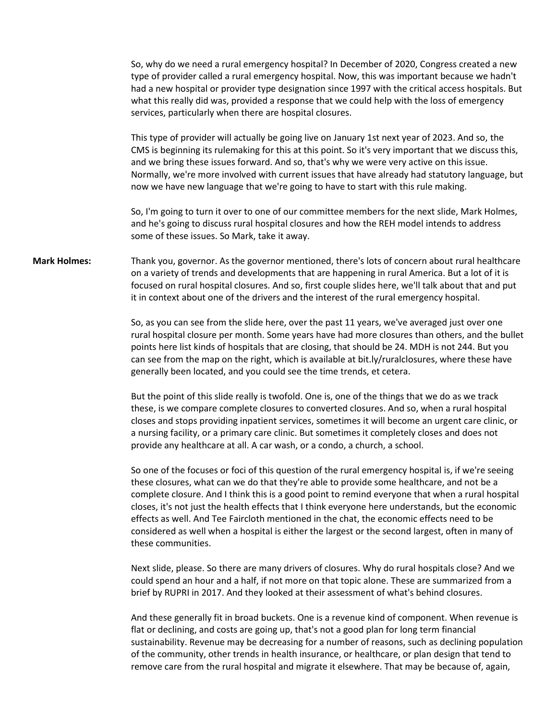So, why do we need a rural emergency hospital? In December of 2020, Congress created a new type of provider called a rural emergency hospital. Now, this was important because we hadn't had a new hospital or provider type designation since 1997 with the critical access hospitals. But what this really did was, provided a response that we could help with the loss of emergency services, particularly when there are hospital closures.

This type of provider will actually be going live on January 1st next year of 2023. And so, the CMS is beginning its rulemaking for this at this point. So it's very important that we discuss this, and we bring these issues forward. And so, that's why we were very active on this issue. Normally, we're more involved with current issues that have already had statutory language, but now we have new language that we're going to have to start with this rule making.

So, I'm going to turn it over to one of our committee members for the next slide, Mark Holmes, and he's going to discuss rural hospital closures and how the REH model intends to address some of these issues. So Mark, take it away.

**Mark Holmes:** Thank you, governor. As the governor mentioned, there's lots of concern about rural healthcare on a variety of trends and developments that are happening in rural America. But a lot of it is focused on rural hospital closures. And so, first couple slides here, we'll talk about that and put it in context about one of the drivers and the interest of the rural emergency hospital.

> So, as you can see from the slide here, over the past 11 years, we've averaged just over one rural hospital closure per month. Some years have had more closures than others, and the bullet points here list kinds of hospitals that are closing, that should be 24. MDH is not 244. But you can see from the map on the right, which is available at bit.ly/ruralclosures, where these have generally been located, and you could see the time trends, et cetera.

But the point of this slide really is twofold. One is, one of the things that we do as we track these, is we compare complete closures to converted closures. And so, when a rural hospital closes and stops providing inpatient services, sometimes it will become an urgent care clinic, or a nursing facility, or a primary care clinic. But sometimes it completely closes and does not provide any healthcare at all. A car wash, or a condo, a church, a school.

So one of the focuses or foci of this question of the rural emergency hospital is, if we're seeing these closures, what can we do that they're able to provide some healthcare, and not be a complete closure. And I think this is a good point to remind everyone that when a rural hospital closes, it's not just the health effects that I think everyone here understands, but the economic effects as well. And Tee Faircloth mentioned in the chat, the economic effects need to be considered as well when a hospital is either the largest or the second largest, often in many of these communities.

Next slide, please. So there are many drivers of closures. Why do rural hospitals close? And we could spend an hour and a half, if not more on that topic alone. These are summarized from a brief by RUPRI in 2017. And they looked at their assessment of what's behind closures.

And these generally fit in broad buckets. One is a revenue kind of component. When revenue is flat or declining, and costs are going up, that's not a good plan for long term financial sustainability. Revenue may be decreasing for a number of reasons, such as declining population of the community, other trends in health insurance, or healthcare, or plan design that tend to remove care from the rural hospital and migrate it elsewhere. That may be because of, again,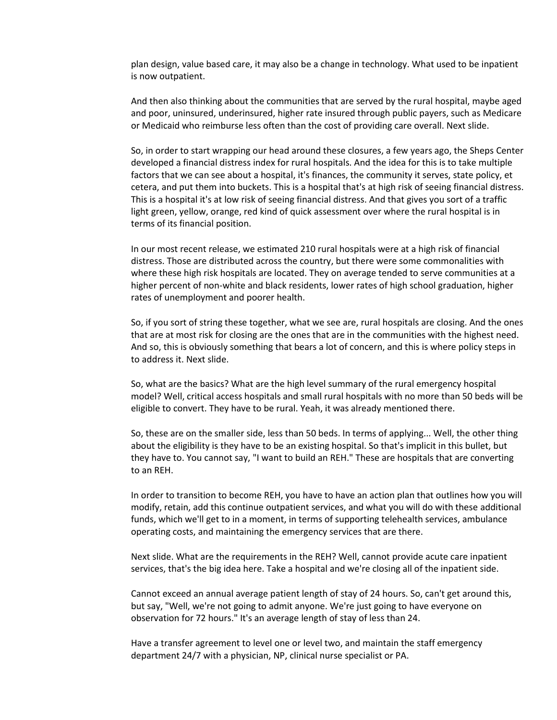plan design, value based care, it may also be a change in technology. What used to be inpatient is now outpatient.

And then also thinking about the communities that are served by the rural hospital, maybe aged and poor, uninsured, underinsured, higher rate insured through public payers, such as Medicare or Medicaid who reimburse less often than the cost of providing care overall. Next slide.

So, in order to start wrapping our head around these closures, a few years ago, the Sheps Center developed a financial distress index for rural hospitals. And the idea for this is to take multiple factors that we can see about a hospital, it's finances, the community it serves, state policy, et cetera, and put them into buckets. This is a hospital that's at high risk of seeing financial distress. This is a hospital it's at low risk of seeing financial distress. And that gives you sort of a traffic light green, yellow, orange, red kind of quick assessment over where the rural hospital is in terms of its financial position.

In our most recent release, we estimated 210 rural hospitals were at a high risk of financial distress. Those are distributed across the country, but there were some commonalities with where these high risk hospitals are located. They on average tended to serve communities at a higher percent of non-white and black residents, lower rates of high school graduation, higher rates of unemployment and poorer health.

So, if you sort of string these together, what we see are, rural hospitals are closing. And the ones that are at most risk for closing are the ones that are in the communities with the highest need. And so, this is obviously something that bears a lot of concern, and this is where policy steps in to address it. Next slide.

So, what are the basics? What are the high level summary of the rural emergency hospital model? Well, critical access hospitals and small rural hospitals with no more than 50 beds will be eligible to convert. They have to be rural. Yeah, it was already mentioned there.

So, these are on the smaller side, less than 50 beds. In terms of applying... Well, the other thing about the eligibility is they have to be an existing hospital. So that's implicit in this bullet, but they have to. You cannot say, "I want to build an REH." These are hospitals that are converting to an REH.

In order to transition to become REH, you have to have an action plan that outlines how you will modify, retain, add this continue outpatient services, and what you will do with these additional funds, which we'll get to in a moment, in terms of supporting telehealth services, ambulance operating costs, and maintaining the emergency services that are there.

Next slide. What are the requirements in the REH? Well, cannot provide acute care inpatient services, that's the big idea here. Take a hospital and we're closing all of the inpatient side.

Cannot exceed an annual average patient length of stay of 24 hours. So, can't get around this, but say, "Well, we're not going to admit anyone. We're just going to have everyone on observation for 72 hours." It's an average length of stay of less than 24.

Have a transfer agreement to level one or level two, and maintain the staff emergency department 24/7 with a physician, NP, clinical nurse specialist or PA.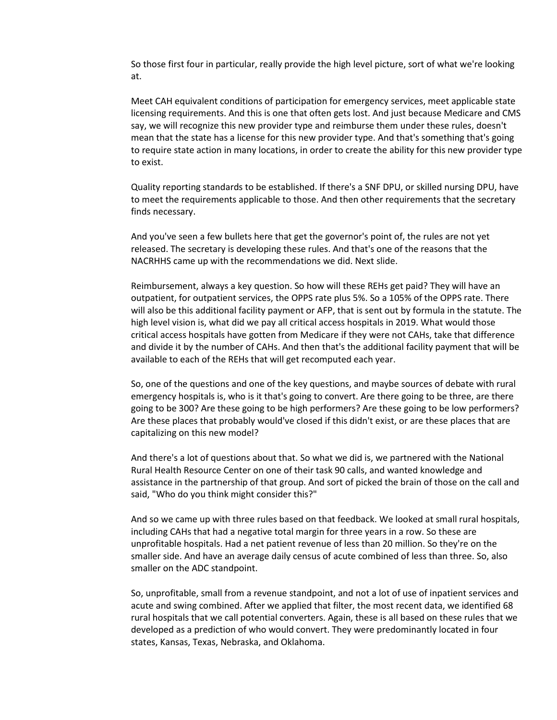So those first four in particular, really provide the high level picture, sort of what we're looking at.

Meet CAH equivalent conditions of participation for emergency services, meet applicable state licensing requirements. And this is one that often gets lost. And just because Medicare and CMS say, we will recognize this new provider type and reimburse them under these rules, doesn't mean that the state has a license for this new provider type. And that's something that's going to require state action in many locations, in order to create the ability for this new provider type to exist.

Quality reporting standards to be established. If there's a SNF DPU, or skilled nursing DPU, have to meet the requirements applicable to those. And then other requirements that the secretary finds necessary.

And you've seen a few bullets here that get the governor's point of, the rules are not yet released. The secretary is developing these rules. And that's one of the reasons that the NACRHHS came up with the recommendations we did. Next slide.

Reimbursement, always a key question. So how will these REHs get paid? They will have an outpatient, for outpatient services, the OPPS rate plus 5%. So a 105% of the OPPS rate. There will also be this additional facility payment or AFP, that is sent out by formula in the statute. The high level vision is, what did we pay all critical access hospitals in 2019. What would those critical access hospitals have gotten from Medicare if they were not CAHs, take that difference and divide it by the number of CAHs. And then that's the additional facility payment that will be available to each of the REHs that will get recomputed each year.

So, one of the questions and one of the key questions, and maybe sources of debate with rural emergency hospitals is, who is it that's going to convert. Are there going to be three, are there going to be 300? Are these going to be high performers? Are these going to be low performers? Are these places that probably would've closed if this didn't exist, or are these places that are capitalizing on this new model?

And there's a lot of questions about that. So what we did is, we partnered with the National Rural Health Resource Center on one of their task 90 calls, and wanted knowledge and assistance in the partnership of that group. And sort of picked the brain of those on the call and said, "Who do you think might consider this?"

And so we came up with three rules based on that feedback. We looked at small rural hospitals, including CAHs that had a negative total margin for three years in a row. So these are unprofitable hospitals. Had a net patient revenue of less than 20 million. So they're on the smaller side. And have an average daily census of acute combined of less than three. So, also smaller on the ADC standpoint.

So, unprofitable, small from a revenue standpoint, and not a lot of use of inpatient services and acute and swing combined. After we applied that filter, the most recent data, we identified 68 rural hospitals that we call potential converters. Again, these is all based on these rules that we developed as a prediction of who would convert. They were predominantly located in four states, Kansas, Texas, Nebraska, and Oklahoma.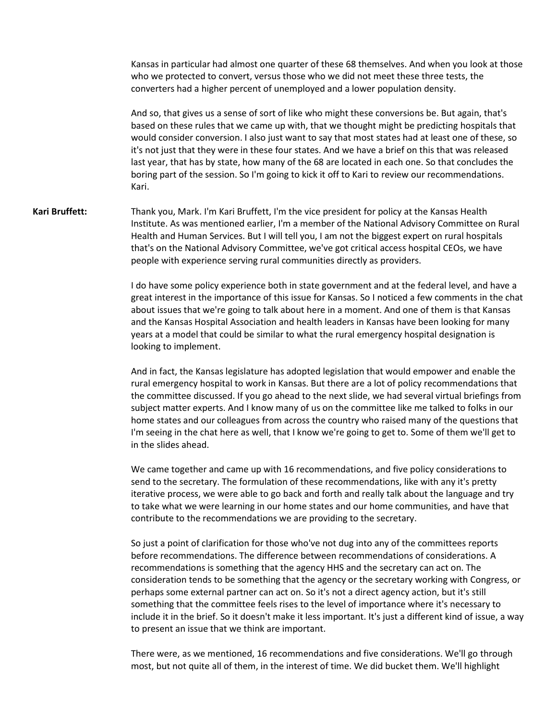Kansas in particular had almost one quarter of these 68 themselves. And when you look at those who we protected to convert, versus those who we did not meet these three tests, the converters had a higher percent of unemployed and a lower population density.

And so, that gives us a sense of sort of like who might these conversions be. But again, that's based on these rules that we came up with, that we thought might be predicting hospitals that would consider conversion. I also just want to say that most states had at least one of these, so it's not just that they were in these four states. And we have a brief on this that was released last year, that has by state, how many of the 68 are located in each one. So that concludes the boring part of the session. So I'm going to kick it off to Kari to review our recommendations. Kari.

**Kari Bruffett:** Thank you, Mark. I'm Kari Bruffett, I'm the vice president for policy at the Kansas Health Institute. As was mentioned earlier, I'm a member of the National Advisory Committee on Rural Health and Human Services. But I will tell you, I am not the biggest expert on rural hospitals that's on the National Advisory Committee, we've got critical access hospital CEOs, we have people with experience serving rural communities directly as providers.

> I do have some policy experience both in state government and at the federal level, and have a great interest in the importance of this issue for Kansas. So I noticed a few comments in the chat about issues that we're going to talk about here in a moment. And one of them is that Kansas and the Kansas Hospital Association and health leaders in Kansas have been looking for many years at a model that could be similar to what the rural emergency hospital designation is looking to implement.

> And in fact, the Kansas legislature has adopted legislation that would empower and enable the rural emergency hospital to work in Kansas. But there are a lot of policy recommendations that the committee discussed. If you go ahead to the next slide, we had several virtual briefings from subject matter experts. And I know many of us on the committee like me talked to folks in our home states and our colleagues from across the country who raised many of the questions that I'm seeing in the chat here as well, that I know we're going to get to. Some of them we'll get to in the slides ahead.

We came together and came up with 16 recommendations, and five policy considerations to send to the secretary. The formulation of these recommendations, like with any it's pretty iterative process, we were able to go back and forth and really talk about the language and try to take what we were learning in our home states and our home communities, and have that contribute to the recommendations we are providing to the secretary.

So just a point of clarification for those who've not dug into any of the committees reports before recommendations. The difference between recommendations of considerations. A recommendations is something that the agency HHS and the secretary can act on. The consideration tends to be something that the agency or the secretary working with Congress, or perhaps some external partner can act on. So it's not a direct agency action, but it's still something that the committee feels rises to the level of importance where it's necessary to include it in the brief. So it doesn't make it less important. It's just a different kind of issue, a way to present an issue that we think are important.

There were, as we mentioned, 16 recommendations and five considerations. We'll go through most, but not quite all of them, in the interest of time. We did bucket them. We'll highlight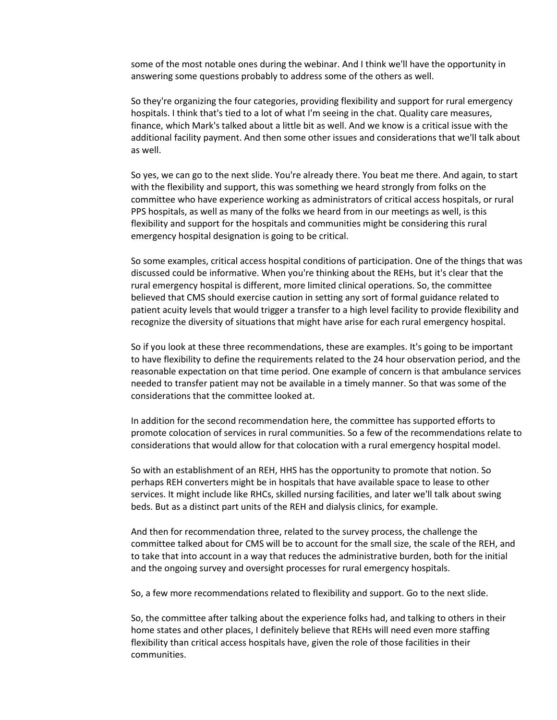some of the most notable ones during the webinar. And I think we'll have the opportunity in answering some questions probably to address some of the others as well.

So they're organizing the four categories, providing flexibility and support for rural emergency hospitals. I think that's tied to a lot of what I'm seeing in the chat. Quality care measures, finance, which Mark's talked about a little bit as well. And we know is a critical issue with the additional facility payment. And then some other issues and considerations that we'll talk about as well.

So yes, we can go to the next slide. You're already there. You beat me there. And again, to start with the flexibility and support, this was something we heard strongly from folks on the committee who have experience working as administrators of critical access hospitals, or rural PPS hospitals, as well as many of the folks we heard from in our meetings as well, is this flexibility and support for the hospitals and communities might be considering this rural emergency hospital designation is going to be critical.

So some examples, critical access hospital conditions of participation. One of the things that was discussed could be informative. When you're thinking about the REHs, but it's clear that the rural emergency hospital is different, more limited clinical operations. So, the committee believed that CMS should exercise caution in setting any sort of formal guidance related to patient acuity levels that would trigger a transfer to a high level facility to provide flexibility and recognize the diversity of situations that might have arise for each rural emergency hospital.

So if you look at these three recommendations, these are examples. It's going to be important to have flexibility to define the requirements related to the 24 hour observation period, and the reasonable expectation on that time period. One example of concern is that ambulance services needed to transfer patient may not be available in a timely manner. So that was some of the considerations that the committee looked at.

In addition for the second recommendation here, the committee has supported efforts to promote colocation of services in rural communities. So a few of the recommendations relate to considerations that would allow for that colocation with a rural emergency hospital model.

So with an establishment of an REH, HHS has the opportunity to promote that notion. So perhaps REH converters might be in hospitals that have available space to lease to other services. It might include like RHCs, skilled nursing facilities, and later we'll talk about swing beds. But as a distinct part units of the REH and dialysis clinics, for example.

And then for recommendation three, related to the survey process, the challenge the committee talked about for CMS will be to account for the small size, the scale of the REH, and to take that into account in a way that reduces the administrative burden, both for the initial and the ongoing survey and oversight processes for rural emergency hospitals.

So, a few more recommendations related to flexibility and support. Go to the next slide.

So, the committee after talking about the experience folks had, and talking to others in their home states and other places, I definitely believe that REHs will need even more staffing flexibility than critical access hospitals have, given the role of those facilities in their communities.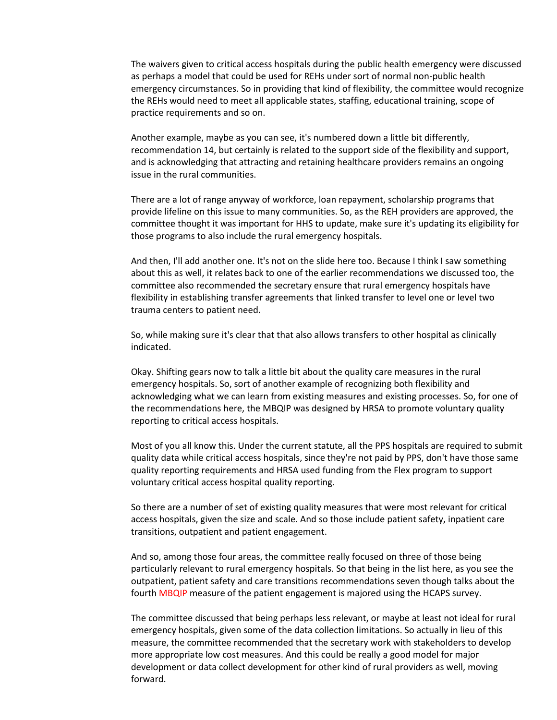The waivers given to critical access hospitals during the public health emergency were discussed as perhaps a model that could be used for REHs under sort of normal non-public health emergency circumstances. So in providing that kind of flexibility, the committee would recognize the REHs would need to meet all applicable states, staffing, educational training, scope of practice requirements and so on.

Another example, maybe as you can see, it's numbered down a little bit differently, recommendation 14, but certainly is related to the support side of the flexibility and support, and is acknowledging that attracting and retaining healthcare providers remains an ongoing issue in the rural communities.

There are a lot of range anyway of workforce, loan repayment, scholarship programs that provide lifeline on this issue to many communities. So, as the REH providers are approved, the committee thought it was important for HHS to update, make sure it's updating its eligibility for those programs to also include the rural emergency hospitals.

And then, I'll add another one. It's not on the slide here too. Because I think I saw something about this as well, it relates back to one of the earlier recommendations we discussed too, the committee also recommended the secretary ensure that rural emergency hospitals have flexibility in establishing transfer agreements that linked transfer to level one or level two trauma centers to patient need.

So, while making sure it's clear that that also allows transfers to other hospital as clinically indicated.

Okay. Shifting gears now to talk a little bit about the quality care measures in the rural emergency hospitals. So, sort of another example of recognizing both flexibility and acknowledging what we can learn from existing measures and existing processes. So, for one of the recommendations here, the MBQIP was designed by HRSA to promote voluntary quality reporting to critical access hospitals.

Most of you all know this. Under the current statute, all the PPS hospitals are required to submit quality data while critical access hospitals, since they're not paid by PPS, don't have those same quality reporting requirements and HRSA used funding from the Flex program to support voluntary critical access hospital quality reporting.

So there are a number of set of existing quality measures that were most relevant for critical access hospitals, given the size and scale. And so those include patient safety, inpatient care transitions, outpatient and patient engagement.

And so, among those four areas, the committee really focused on three of those being particularly relevant to rural emergency hospitals. So that being in the list here, as you see the outpatient, patient safety and care transitions recommendations seven though talks about the fourth MBQIP measure of the patient engagement is majored using the HCAPS survey.

The committee discussed that being perhaps less relevant, or maybe at least not ideal for rural emergency hospitals, given some of the data collection limitations. So actually in lieu of this measure, the committee recommended that the secretary work with stakeholders to develop more appropriate low cost measures. And this could be really a good model for major development or data collect development for other kind of rural providers as well, moving forward.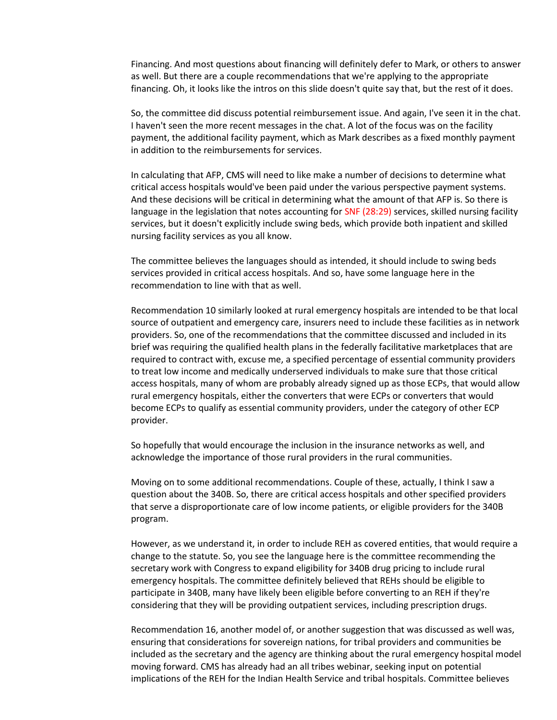Financing. And most questions about financing will definitely defer to Mark, or others to answer as well. But there are a couple recommendations that we're applying to the appropriate financing. Oh, it looks like the intros on this slide doesn't quite say that, but the rest of it does.

So, the committee did discuss potential reimbursement issue. And again, I've seen it in the chat. I haven't seen the more recent messages in the chat. A lot of the focus was on the facility payment, the additional facility payment, which as Mark describes as a fixed monthly payment in addition to the reimbursements for services.

In calculating that AFP, CMS will need to like make a number of decisions to determine what critical access hospitals would've been paid under the various perspective payment systems. And these decisions will be critical in determining what the amount of that AFP is. So there is language in the legislation that notes accounting for SNF (28:29) services, skilled nursing facility services, but it doesn't explicitly include swing beds, which provide both inpatient and skilled nursing facility services as you all know.

The committee believes the languages should as intended, it should include to swing beds services provided in critical access hospitals. And so, have some language here in the recommendation to line with that as well.

Recommendation 10 similarly looked at rural emergency hospitals are intended to be that local source of outpatient and emergency care, insurers need to include these facilities as in network providers. So, one of the recommendations that the committee discussed and included in its brief was requiring the qualified health plans in the federally facilitative marketplaces that are required to contract with, excuse me, a specified percentage of essential community providers to treat low income and medically underserved individuals to make sure that those critical access hospitals, many of whom are probably already signed up as those ECPs, that would allow rural emergency hospitals, either the converters that were ECPs or converters that would become ECPs to qualify as essential community providers, under the category of other ECP provider.

So hopefully that would encourage the inclusion in the insurance networks as well, and acknowledge the importance of those rural providers in the rural communities.

Moving on to some additional recommendations. Couple of these, actually, I think I saw a question about the 340B. So, there are critical access hospitals and other specified providers that serve a disproportionate care of low income patients, or eligible providers for the 340B program.

However, as we understand it, in order to include REH as covered entities, that would require a change to the statute. So, you see the language here is the committee recommending the secretary work with Congress to expand eligibility for 340B drug pricing to include rural emergency hospitals. The committee definitely believed that REHs should be eligible to participate in 340B, many have likely been eligible before converting to an REH if they're considering that they will be providing outpatient services, including prescription drugs.

Recommendation 16, another model of, or another suggestion that was discussed as well was, ensuring that considerations for sovereign nations, for tribal providers and communities be included as the secretary and the agency are thinking about the rural emergency hospital model moving forward. CMS has already had an all tribes webinar, seeking input on potential implications of the REH for the Indian Health Service and tribal hospitals. Committee believes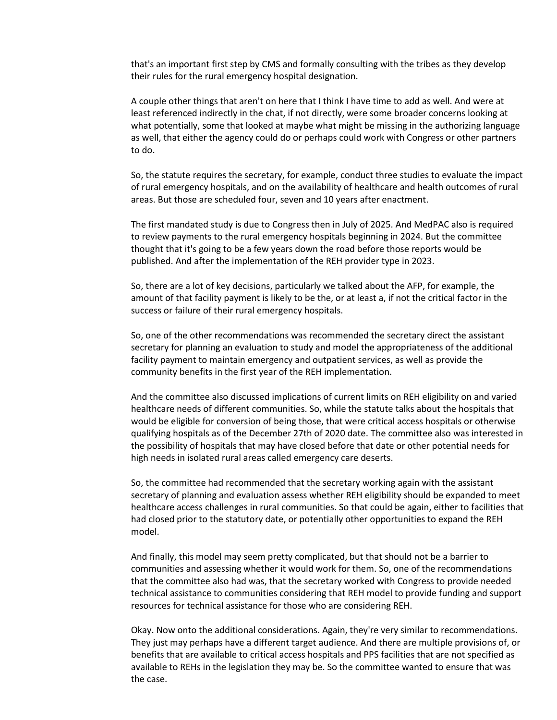that's an important first step by CMS and formally consulting with the tribes as they develop their rules for the rural emergency hospital designation.

A couple other things that aren't on here that I think I have time to add as well. And were at least referenced indirectly in the chat, if not directly, were some broader concerns looking at what potentially, some that looked at maybe what might be missing in the authorizing language as well, that either the agency could do or perhaps could work with Congress or other partners to do.

So, the statute requires the secretary, for example, conduct three studies to evaluate the impact of rural emergency hospitals, and on the availability of healthcare and health outcomes of rural areas. But those are scheduled four, seven and 10 years after enactment.

The first mandated study is due to Congress then in July of 2025. And MedPAC also is required to review payments to the rural emergency hospitals beginning in 2024. But the committee thought that it's going to be a few years down the road before those reports would be published. And after the implementation of the REH provider type in 2023.

So, there are a lot of key decisions, particularly we talked about the AFP, for example, the amount of that facility payment is likely to be the, or at least a, if not the critical factor in the success or failure of their rural emergency hospitals.

So, one of the other recommendations was recommended the secretary direct the assistant secretary for planning an evaluation to study and model the appropriateness of the additional facility payment to maintain emergency and outpatient services, as well as provide the community benefits in the first year of the REH implementation.

And the committee also discussed implications of current limits on REH eligibility on and varied healthcare needs of different communities. So, while the statute talks about the hospitals that would be eligible for conversion of being those, that were critical access hospitals or otherwise qualifying hospitals as of the December 27th of 2020 date. The committee also was interested in the possibility of hospitals that may have closed before that date or other potential needs for high needs in isolated rural areas called emergency care deserts.

So, the committee had recommended that the secretary working again with the assistant secretary of planning and evaluation assess whether REH eligibility should be expanded to meet healthcare access challenges in rural communities. So that could be again, either to facilities that had closed prior to the statutory date, or potentially other opportunities to expand the REH model.

And finally, this model may seem pretty complicated, but that should not be a barrier to communities and assessing whether it would work for them. So, one of the recommendations that the committee also had was, that the secretary worked with Congress to provide needed technical assistance to communities considering that REH model to provide funding and support resources for technical assistance for those who are considering REH.

Okay. Now onto the additional considerations. Again, they're very similar to recommendations. They just may perhaps have a different target audience. And there are multiple provisions of, or benefits that are available to critical access hospitals and PPS facilities that are not specified as available to REHs in the legislation they may be. So the committee wanted to ensure that was the case.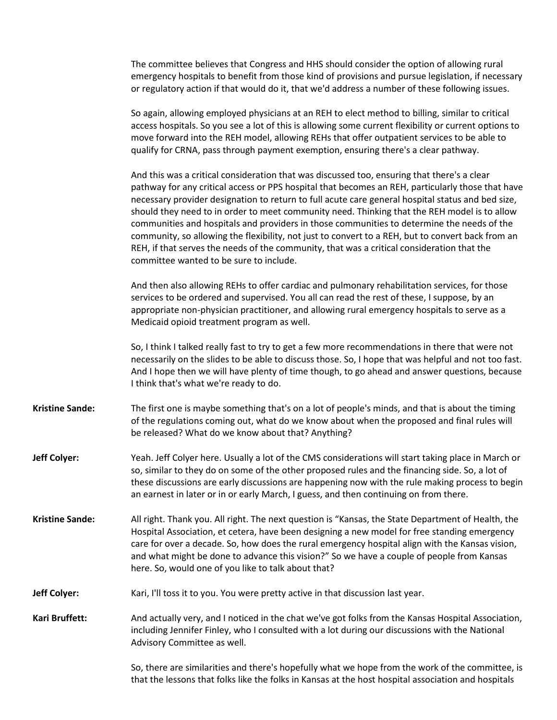The committee believes that Congress and HHS should consider the option of allowing rural emergency hospitals to benefit from those kind of provisions and pursue legislation, if necessary or regulatory action if that would do it, that we'd address a number of these following issues.

So again, allowing employed physicians at an REH to elect method to billing, similar to critical access hospitals. So you see a lot of this is allowing some current flexibility or current options to move forward into the REH model, allowing REHs that offer outpatient services to be able to qualify for CRNA, pass through payment exemption, ensuring there's a clear pathway.

And this was a critical consideration that was discussed too, ensuring that there's a clear pathway for any critical access or PPS hospital that becomes an REH, particularly those that have necessary provider designation to return to full acute care general hospital status and bed size, should they need to in order to meet community need. Thinking that the REH model is to allow communities and hospitals and providers in those communities to determine the needs of the community, so allowing the flexibility, not just to convert to a REH, but to convert back from an REH, if that serves the needs of the community, that was a critical consideration that the committee wanted to be sure to include.

And then also allowing REHs to offer cardiac and pulmonary rehabilitation services, for those services to be ordered and supervised. You all can read the rest of these, I suppose, by an appropriate non-physician practitioner, and allowing rural emergency hospitals to serve as a Medicaid opioid treatment program as well.

So, I think I talked really fast to try to get a few more recommendations in there that were not necessarily on the slides to be able to discuss those. So, I hope that was helpful and not too fast. And I hope then we will have plenty of time though, to go ahead and answer questions, because I think that's what we're ready to do.

- **Kristine Sande:** The first one is maybe something that's on a lot of people's minds, and that is about the timing of the regulations coming out, what do we know about when the proposed and final rules will be released? What do we know about that? Anything?
- **Jeff Colyer:** Yeah. Jeff Colyer here. Usually a lot of the CMS considerations will start taking place in March or so, similar to they do on some of the other proposed rules and the financing side. So, a lot of these discussions are early discussions are happening now with the rule making process to begin an earnest in later or in or early March, I guess, and then continuing on from there.
- **Kristine Sande:** All right. Thank you. All right. The next question is "Kansas, the State Department of Health, the Hospital Association, et cetera, have been designing a new model for free standing emergency care for over a decade. So, how does the rural emergency hospital align with the Kansas vision, and what might be done to advance this vision?" So we have a couple of people from Kansas here. So, would one of you like to talk about that?
- **Jeff Colyer:** Kari, I'll toss it to you. You were pretty active in that discussion last year.

**Kari Bruffett:** And actually very, and I noticed in the chat we've got folks from the Kansas Hospital Association, including Jennifer Finley, who I consulted with a lot during our discussions with the National Advisory Committee as well.

> So, there are similarities and there's hopefully what we hope from the work of the committee, is that the lessons that folks like the folks in Kansas at the host hospital association and hospitals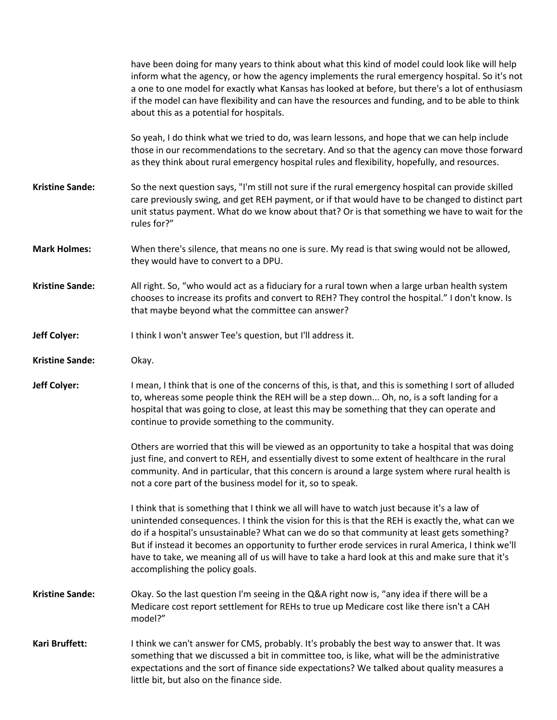|                        | have been doing for many years to think about what this kind of model could look like will help<br>inform what the agency, or how the agency implements the rural emergency hospital. So it's not<br>a one to one model for exactly what Kansas has looked at before, but there's a lot of enthusiasm<br>if the model can have flexibility and can have the resources and funding, and to be able to think<br>about this as a potential for hospitals.                                                                                      |
|------------------------|---------------------------------------------------------------------------------------------------------------------------------------------------------------------------------------------------------------------------------------------------------------------------------------------------------------------------------------------------------------------------------------------------------------------------------------------------------------------------------------------------------------------------------------------|
|                        | So yeah, I do think what we tried to do, was learn lessons, and hope that we can help include<br>those in our recommendations to the secretary. And so that the agency can move those forward<br>as they think about rural emergency hospital rules and flexibility, hopefully, and resources.                                                                                                                                                                                                                                              |
| <b>Kristine Sande:</b> | So the next question says, "I'm still not sure if the rural emergency hospital can provide skilled<br>care previously swing, and get REH payment, or if that would have to be changed to distinct part<br>unit status payment. What do we know about that? Or is that something we have to wait for the<br>rules for?"                                                                                                                                                                                                                      |
| <b>Mark Holmes:</b>    | When there's silence, that means no one is sure. My read is that swing would not be allowed,<br>they would have to convert to a DPU.                                                                                                                                                                                                                                                                                                                                                                                                        |
| <b>Kristine Sande:</b> | All right. So, "who would act as a fiduciary for a rural town when a large urban health system<br>chooses to increase its profits and convert to REH? They control the hospital." I don't know. Is<br>that maybe beyond what the committee can answer?                                                                                                                                                                                                                                                                                      |
| <b>Jeff Colyer:</b>    | I think I won't answer Tee's question, but I'll address it.                                                                                                                                                                                                                                                                                                                                                                                                                                                                                 |
| <b>Kristine Sande:</b> | Okay.                                                                                                                                                                                                                                                                                                                                                                                                                                                                                                                                       |
| <b>Jeff Colyer:</b>    | I mean, I think that is one of the concerns of this, is that, and this is something I sort of alluded<br>to, whereas some people think the REH will be a step down Oh, no, is a soft landing for a<br>hospital that was going to close, at least this may be something that they can operate and<br>continue to provide something to the community.                                                                                                                                                                                         |
|                        | Others are worried that this will be viewed as an opportunity to take a hospital that was doing<br>just fine, and convert to REH, and essentially divest to some extent of healthcare in the rural<br>community. And in particular, that this concern is around a large system where rural health is<br>not a core part of the business model for it, so to speak.                                                                                                                                                                          |
|                        | I think that is something that I think we all will have to watch just because it's a law of<br>unintended consequences. I think the vision for this is that the REH is exactly the, what can we<br>do if a hospital's unsustainable? What can we do so that community at least gets something?<br>But if instead it becomes an opportunity to further erode services in rural America, I think we'll<br>have to take, we meaning all of us will have to take a hard look at this and make sure that it's<br>accomplishing the policy goals. |
| <b>Kristine Sande:</b> | Okay. So the last question I'm seeing in the Q&A right now is, "any idea if there will be a<br>Medicare cost report settlement for REHs to true up Medicare cost like there isn't a CAH<br>model?"                                                                                                                                                                                                                                                                                                                                          |
| Kari Bruffett:         | I think we can't answer for CMS, probably. It's probably the best way to answer that. It was<br>something that we discussed a bit in committee too, is like, what will be the administrative<br>expectations and the sort of finance side expectations? We talked about quality measures a<br>little bit, but also on the finance side.                                                                                                                                                                                                     |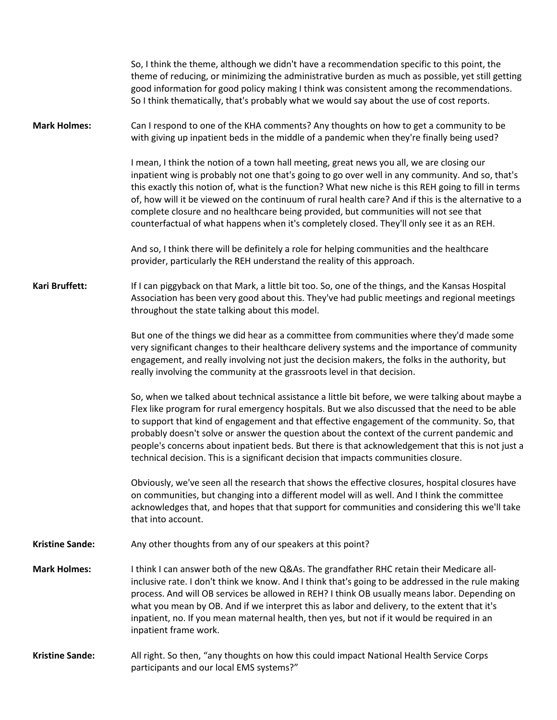|                        | So, I think the theme, although we didn't have a recommendation specific to this point, the<br>theme of reducing, or minimizing the administrative burden as much as possible, yet still getting<br>good information for good policy making I think was consistent among the recommendations.<br>So I think thematically, that's probably what we would say about the use of cost reports.                                                                                                                                                                                                          |
|------------------------|-----------------------------------------------------------------------------------------------------------------------------------------------------------------------------------------------------------------------------------------------------------------------------------------------------------------------------------------------------------------------------------------------------------------------------------------------------------------------------------------------------------------------------------------------------------------------------------------------------|
| <b>Mark Holmes:</b>    | Can I respond to one of the KHA comments? Any thoughts on how to get a community to be<br>with giving up inpatient beds in the middle of a pandemic when they're finally being used?                                                                                                                                                                                                                                                                                                                                                                                                                |
|                        | I mean, I think the notion of a town hall meeting, great news you all, we are closing our<br>inpatient wing is probably not one that's going to go over well in any community. And so, that's<br>this exactly this notion of, what is the function? What new niche is this REH going to fill in terms<br>of, how will it be viewed on the continuum of rural health care? And if this is the alternative to a<br>complete closure and no healthcare being provided, but communities will not see that<br>counterfactual of what happens when it's completely closed. They'll only see it as an REH. |
|                        | And so, I think there will be definitely a role for helping communities and the healthcare<br>provider, particularly the REH understand the reality of this approach.                                                                                                                                                                                                                                                                                                                                                                                                                               |
| Kari Bruffett:         | If I can piggyback on that Mark, a little bit too. So, one of the things, and the Kansas Hospital<br>Association has been very good about this. They've had public meetings and regional meetings<br>throughout the state talking about this model.                                                                                                                                                                                                                                                                                                                                                 |
|                        | But one of the things we did hear as a committee from communities where they'd made some<br>very significant changes to their healthcare delivery systems and the importance of community<br>engagement, and really involving not just the decision makers, the folks in the authority, but<br>really involving the community at the grassroots level in that decision.                                                                                                                                                                                                                             |
|                        | So, when we talked about technical assistance a little bit before, we were talking about maybe a<br>Flex like program for rural emergency hospitals. But we also discussed that the need to be able<br>to support that kind of engagement and that effective engagement of the community. So, that<br>probably doesn't solve or answer the question about the context of the current pandemic and<br>people's concerns about inpatient beds. But there is that acknowledgement that this is not just a<br>technical decision. This is a significant decision that impacts communities closure.      |
|                        | Obviously, we've seen all the research that shows the effective closures, hospital closures have<br>on communities, but changing into a different model will as well. And I think the committee<br>acknowledges that, and hopes that that support for communities and considering this we'll take<br>that into account.                                                                                                                                                                                                                                                                             |
| <b>Kristine Sande:</b> | Any other thoughts from any of our speakers at this point?                                                                                                                                                                                                                                                                                                                                                                                                                                                                                                                                          |
| <b>Mark Holmes:</b>    | I think I can answer both of the new Q&As. The grandfather RHC retain their Medicare all-<br>inclusive rate. I don't think we know. And I think that's going to be addressed in the rule making<br>process. And will OB services be allowed in REH? I think OB usually means labor. Depending on<br>what you mean by OB. And if we interpret this as labor and delivery, to the extent that it's<br>inpatient, no. If you mean maternal health, then yes, but not if it would be required in an<br>inpatient frame work.                                                                            |
| <b>Kristine Sande:</b> | All right. So then, "any thoughts on how this could impact National Health Service Corps<br>participants and our local EMS systems?"                                                                                                                                                                                                                                                                                                                                                                                                                                                                |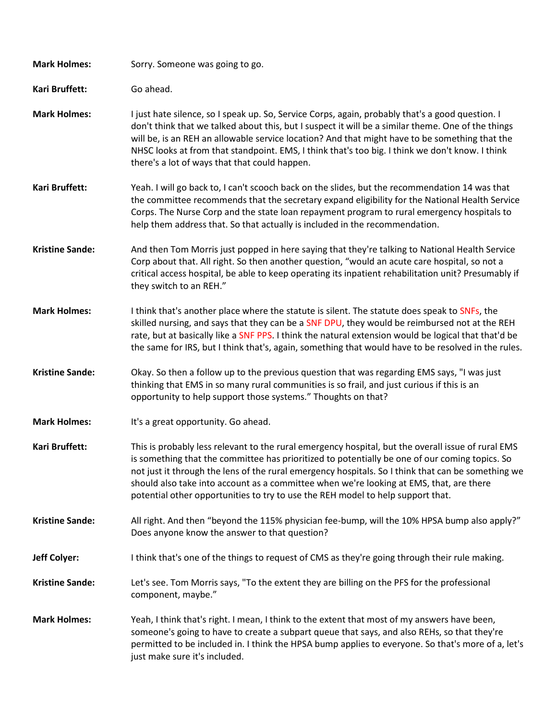| <b>Mark Holmes:</b>    | Sorry. Someone was going to go.                                                                                                                                                                                                                                                                                                                                                                                                                                                          |
|------------------------|------------------------------------------------------------------------------------------------------------------------------------------------------------------------------------------------------------------------------------------------------------------------------------------------------------------------------------------------------------------------------------------------------------------------------------------------------------------------------------------|
| Kari Bruffett:         | Go ahead.                                                                                                                                                                                                                                                                                                                                                                                                                                                                                |
| <b>Mark Holmes:</b>    | I just hate silence, so I speak up. So, Service Corps, again, probably that's a good question. I<br>don't think that we talked about this, but I suspect it will be a similar theme. One of the things<br>will be, is an REH an allowable service location? And that might have to be something that the<br>NHSC looks at from that standpoint. EMS, I think that's too big. I think we don't know. I think<br>there's a lot of ways that that could happen.                             |
| Kari Bruffett:         | Yeah. I will go back to, I can't scooch back on the slides, but the recommendation 14 was that<br>the committee recommends that the secretary expand eligibility for the National Health Service<br>Corps. The Nurse Corp and the state loan repayment program to rural emergency hospitals to<br>help them address that. So that actually is included in the recommendation.                                                                                                            |
| <b>Kristine Sande:</b> | And then Tom Morris just popped in here saying that they're talking to National Health Service<br>Corp about that. All right. So then another question, "would an acute care hospital, so not a<br>critical access hospital, be able to keep operating its inpatient rehabilitation unit? Presumably if<br>they switch to an REH."                                                                                                                                                       |
| <b>Mark Holmes:</b>    | I think that's another place where the statute is silent. The statute does speak to SNFs, the<br>skilled nursing, and says that they can be a SNF DPU, they would be reimbursed not at the REH<br>rate, but at basically like a SNF PPS. I think the natural extension would be logical that that'd be<br>the same for IRS, but I think that's, again, something that would have to be resolved in the rules.                                                                            |
| <b>Kristine Sande:</b> | Okay. So then a follow up to the previous question that was regarding EMS says, "I was just<br>thinking that EMS in so many rural communities is so frail, and just curious if this is an<br>opportunity to help support those systems." Thoughts on that?                                                                                                                                                                                                                               |
| <b>Mark Holmes:</b>    | It's a great opportunity. Go ahead.                                                                                                                                                                                                                                                                                                                                                                                                                                                      |
| Kari Bruffett:         | This is probably less relevant to the rural emergency hospital, but the overall issue of rural EMS<br>is something that the committee has prioritized to potentially be one of our coming topics. So<br>not just it through the lens of the rural emergency hospitals. So I think that can be something we<br>should also take into account as a committee when we're looking at EMS, that, are there<br>potential other opportunities to try to use the REH model to help support that. |
| <b>Kristine Sande:</b> | All right. And then "beyond the 115% physician fee-bump, will the 10% HPSA bump also apply?"<br>Does anyone know the answer to that question?                                                                                                                                                                                                                                                                                                                                            |
| <b>Jeff Colyer:</b>    | I think that's one of the things to request of CMS as they're going through their rule making.                                                                                                                                                                                                                                                                                                                                                                                           |
| <b>Kristine Sande:</b> | Let's see. Tom Morris says, "To the extent they are billing on the PFS for the professional<br>component, maybe."                                                                                                                                                                                                                                                                                                                                                                        |
| <b>Mark Holmes:</b>    | Yeah, I think that's right. I mean, I think to the extent that most of my answers have been,<br>someone's going to have to create a subpart queue that says, and also REHs, so that they're<br>permitted to be included in. I think the HPSA bump applies to everyone. So that's more of a, let's<br>just make sure it's included.                                                                                                                                                       |